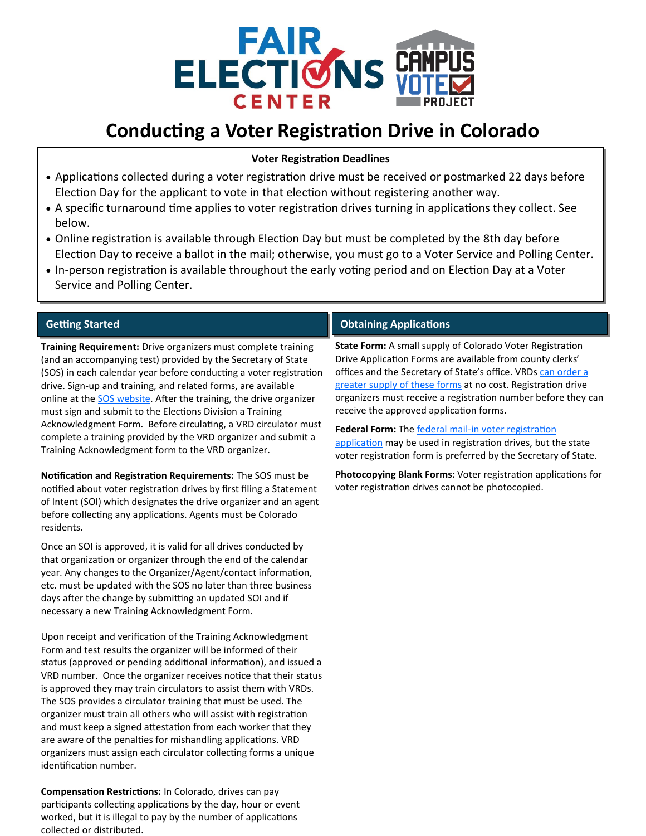

# **Conducting a Voter Registration Drive in Colorado**

#### **Voter Registration Deadlines**

- Applications collected during a voter registration drive must be received or postmarked 22 days before Election Day for the applicant to vote in that election without registering another way.
- A specific turnaround time applies to voter registration drives turning in applications they collect. See below.
- Online registration is available through Election Day but must be completed by the 8th day before Election Day to receive a ballot in the mail; otherwise, you must go to a Voter Service and Polling Center.
- In-person registration is available throughout the early voting period and on Election Day at a Voter Service and Polling Center.

### **Getting Started**

**Training Requirement:** Drive organizers must complete training (and an accompanying test) provided by the Secretary of State (SOS) in each calendar year before conducting a voter registration drive. Sign-up and training, and related forms, are available online at the **SOS** website. After the training, the drive organizer must sign and submit to the Elections Division a Training Acknowledgment Form. Before circulating, a VRD circulator must complete a training provided by the VRD organizer and submit a Training Acknowledgment form to the VRD organizer.

**Notification and Registration Requirements:** The SOS must be notified about voter registration drives by first filing a Statement of Intent (SOI) which designates the drive organizer and an agent before collecting any applications. Agents must be Colorado residents.

Once an SOI is approved, it is valid for all drives conducted by that organization or organizer through the end of the calendar year. Any changes to the Organizer/Agent/contact information, etc. must be updated with the SOS no later than three business days after the change by submitting an updated SOI and if necessary a new Training Acknowledgment Form.

Upon receipt and verification of the Training Acknowledgment Form and test results the organizer will be informed of their status (approved or pending additional information), and issued a VRD number. Once the organizer receives notice that their status is approved they may train circulators to assist them with VRDs. The SOS provides a circulator training that must be used. The organizer must train all others who will assist with registration and must keep a signed attestation from each worker that they are aware of the penalties for mishandling applications. VRD organizers must assign each circulator collecting forms a unique identification number.

**Compensation Restrictions:** In Colorado, drives can pay participants collecting applications by the day, hour or event worked, but it is illegal to pay by the number of applications collected or distributed.

## **Obtaining Applications**

**State Form:** A small supply of Colorado Voter Registration Drive Application Forms are available from county clerks' offices and the Secretary of State's office. VRDs can order a [greater supply of these forms](https://www.sos.state.co.us/ccorner/VRDOrderForms.do) at no cost. Registration drive organizers must receive a registration number before they can receive the approved application forms.

**Federal Form:** The federal mail-[in voter registration](https://www.eac.gov/voters/national-mail-voter-registration-form/)  [application](https://www.eac.gov/voters/national-mail-voter-registration-form/) may be used in registration drives, but the state voter registration form is preferred by the Secretary of State.

**Photocopying Blank Forms:** Voter registration applications for voter registration drives cannot be photocopied.